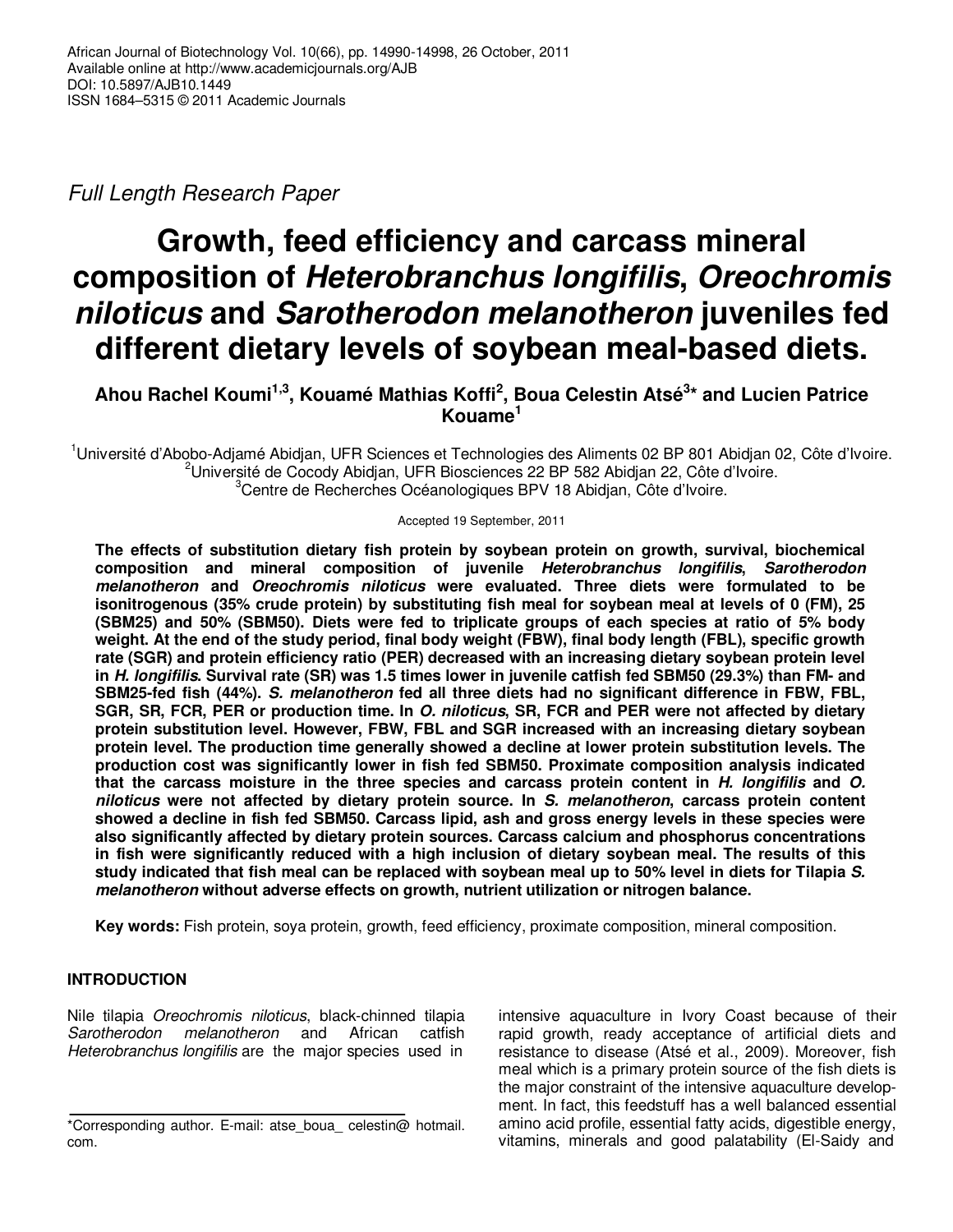Full Length Research Paper

# **Growth, feed efficiency and carcass mineral composition of Heterobranchus longifilis, Oreochromis niloticus and Sarotherodon melanotheron juveniles fed different dietary levels of soybean meal-based diets.**

**Ahou Rachel Koumi1,3, Kouamé Mathias Koffi<sup>2</sup> , Boua Celestin Atsé<sup>3</sup> \* and Lucien Patrice Kouame<sup>1</sup>**

<sup>1</sup>Université d'Abobo-Adjamé Abidjan, UFR Sciences et Technologies des Aliments 02 BP 801 Abidjan 02, Côte d'Ivoire.  $2$ Université de Cocody Abidian, UFR Biosciences 22 BP 582 Abidian 22, Côte d'Ivoire. <sup>3</sup>Centre de Recherches Océanologiques BPV 18 Abidjan, Côte d'Ivoire.

Accepted 19 September, 2011

**The effects of substitution dietary fish protein by soybean protein on growth, survival, biochemical composition and mineral composition of juvenile Heterobranchus longifilis, Sarotherodon melanotheron and Oreochromis niloticus were evaluated. Three diets were formulated to be isonitrogenous (35% crude protein) by substituting fish meal for soybean meal at levels of 0 (FM), 25 (SBM25) and 50% (SBM50). Diets were fed to triplicate groups of each species at ratio of 5% body weight. At the end of the study period, final body weight (FBW), final body length (FBL), specific growth rate (SGR) and protein efficiency ratio (PER) decreased with an increasing dietary soybean protein level in H. longifilis. Survival rate (SR) was 1.5 times lower in juvenile catfish fed SBM50 (29.3%) than FM- and SBM25-fed fish (44%). S. melanotheron fed all three diets had no significant difference in FBW, FBL, SGR, SR, FCR, PER or production time. In O. niloticus, SR, FCR and PER were not affected by dietary protein substitution level. However, FBW, FBL and SGR increased with an increasing dietary soybean protein level. The production time generally showed a decline at lower protein substitution levels. The production cost was significantly lower in fish fed SBM50. Proximate composition analysis indicated that the carcass moisture in the three species and carcass protein content in H. longifilis and O. niloticus were not affected by dietary protein source. In S. melanotheron, carcass protein content showed a decline in fish fed SBM50. Carcass lipid, ash and gross energy levels in these species were also significantly affected by dietary protein sources. Carcass calcium and phosphorus concentrations in fish were significantly reduced with a high inclusion of dietary soybean meal. The results of this study indicated that fish meal can be replaced with soybean meal up to 50% level in diets for Tilapia S. melanotheron without adverse effects on growth, nutrient utilization or nitrogen balance.** 

**Key words:** Fish protein, soya protein, growth, feed efficiency, proximate composition, mineral composition.

## **INTRODUCTION**

Nile tilapia Oreochromis niloticus, black-chinned tilapia Sarotherodon melanotheron and African catfish Heterobranchus longifilis are the major species used in

intensive aquaculture in Ivory Coast because of their rapid growth, ready acceptance of artificial diets and resistance to disease (Atsé et al., 2009). Moreover, fish meal which is a primary protein source of the fish diets is the major constraint of the intensive aquaculture development. In fact, this feedstuff has a well balanced essential amino acid profile, essential fatty acids, digestible energy, vitamins, minerals and good palatability (El-Saidy and

<sup>\*</sup>Corresponding author. E-mail: atse\_boua\_ celestin@ hotmail. com.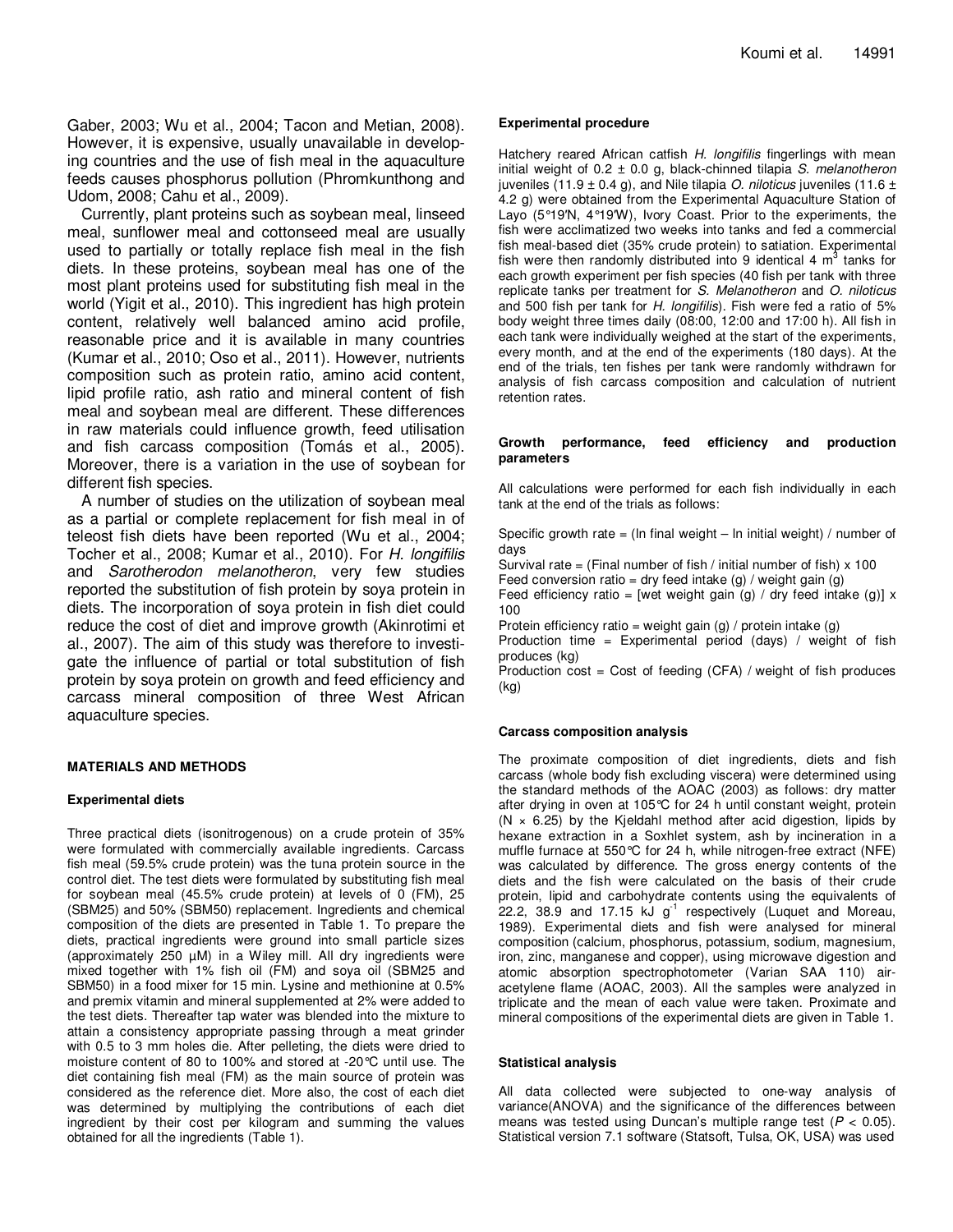Gaber, 2003; Wu et al., 2004; Tacon and Metian, 2008). However, it is expensive, usually unavailable in developing countries and the use of fish meal in the aquaculture feeds causes phosphorus pollution (Phromkunthong and Udom, 2008; Cahu et al., 2009).

Currently, plant proteins such as soybean meal, linseed meal, sunflower meal and cottonseed meal are usually used to partially or totally replace fish meal in the fish diets. In these proteins, soybean meal has one of the most plant proteins used for substituting fish meal in the world (Yigit et al., 2010). This ingredient has high protein content, relatively well balanced amino acid profile, reasonable price and it is available in many countries (Kumar et al., 2010; Oso et al., 2011). However, nutrients composition such as protein ratio, amino acid content, lipid profile ratio, ash ratio and mineral content of fish meal and soybean meal are different. These differences in raw materials could influence growth, feed utilisation and fish carcass composition (Tomás et al., 2005). Moreover, there is a variation in the use of soybean for different fish species.

A number of studies on the utilization of soybean meal as a partial or complete replacement for fish meal in of teleost fish diets have been reported (Wu et al., 2004; Tocher et al., 2008; Kumar et al., 2010). For H. longifilis and Sarotherodon melanotheron, very few studies reported the substitution of fish protein by soya protein in diets. The incorporation of soya protein in fish diet could reduce the cost of diet and improve growth (Akinrotimi et al., 2007). The aim of this study was therefore to investigate the influence of partial or total substitution of fish protein by soya protein on growth and feed efficiency and carcass mineral composition of three West African aquaculture species.

### **MATERIALS AND METHODS**

#### **Experimental diets**

Three practical diets (isonitrogenous) on a crude protein of 35% were formulated with commercially available ingredients. Carcass fish meal (59.5% crude protein) was the tuna protein source in the control diet. The test diets were formulated by substituting fish meal for soybean meal (45.5% crude protein) at levels of 0 (FM), 25 (SBM25) and 50% (SBM50) replacement. Ingredients and chemical composition of the diets are presented in Table 1. To prepare the diets, practical ingredients were ground into small particle sizes (approximately 250 µM) in a Wiley mill. All dry ingredients were mixed together with 1% fish oil (FM) and soya oil (SBM25 and SBM50) in a food mixer for 15 min. Lysine and methionine at 0.5% and premix vitamin and mineral supplemented at 2% were added to the test diets. Thereafter tap water was blended into the mixture to attain a consistency appropriate passing through a meat grinder with 0.5 to 3 mm holes die. After pelleting, the diets were dried to moisture content of 80 to 100% and stored at -20°C until use. The diet containing fish meal (FM) as the main source of protein was considered as the reference diet. More also, the cost of each diet was determined by multiplying the contributions of each diet ingredient by their cost per kilogram and summing the values obtained for all the ingredients (Table 1).

#### **Experimental procedure**

Hatchery reared African catfish H. longifilis fingerlings with mean initial weight of  $0.2 \pm 0.0$  g, black-chinned tilapia S. melanotheron juveniles (11.9  $\pm$  0.4 g), and Nile tilapia *O. niloticus* juveniles (11.6  $\pm$ 4.2 g) were obtained from the Experimental Aquaculture Station of Layo (5°19'N, 4°19'W), Ivory Coast. Prior to the experiments, the fish were acclimatized two weeks into tanks and fed a commercial fish meal-based diet (35% crude protein) to satiation. Experimental fish were then randomly distributed into 9 identical 4  $m<sup>3</sup>$  tanks for each growth experiment per fish species (40 fish per tank with three replicate tanks per treatment for S. Melanotheron and O. niloticus and 500 fish per tank for H. longifilis). Fish were fed a ratio of 5% body weight three times daily (08:00, 12:00 and 17:00 h). All fish in each tank were individually weighed at the start of the experiments, every month, and at the end of the experiments (180 days). At the end of the trials, ten fishes per tank were randomly withdrawn for analysis of fish carcass composition and calculation of nutrient retention rates.

#### **Growth performance, feed efficiency and production parameters**

All calculations were performed for each fish individually in each tank at the end of the trials as follows:

Specific growth rate = (In final weight  $-$  In initial weight) / number of days

Survival rate = (Final number of fish / initial number of fish)  $x$  100

Feed conversion ratio = dry feed intake (g) / weight gain (g)

Feed efficiency ratio = [wet weight gain (g) / dry feed intake (g)]  $x$ 100

Protein efficiency ratio = weight gain (g) / protein intake (g)

Production time = Experimental period (days) / weight of fish produces (kg)

Production  $cost = Cost$  of feeding  $(CFA)$  / weight of fish produces (kg)

#### **Carcass composition analysis**

The proximate composition of diet ingredients, diets and fish carcass (whole body fish excluding viscera) were determined using the standard methods of the AOAC (2003) as follows: dry matter after drying in oven at 105°C for 24 h until constant weight, protein (N  $\times$  6.25) by the Kjeldahl method after acid digestion, lipids by hexane extraction in a Soxhlet system, ash by incineration in a muffle furnace at 550°C for 24 h, while nitrogen-free extract (NFE) was calculated by difference. The gross energy contents of the diets and the fish were calculated on the basis of their crude protein, lipid and carbohydrate contents using the equivalents of 22.2, 38.9 and 17.15 kJ  $g^{-1}$  respectively (Luquet and Moreau, 1989). Experimental diets and fish were analysed for mineral composition (calcium, phosphorus, potassium, sodium, magnesium, iron, zinc, manganese and copper), using microwave digestion and atomic absorption spectrophotometer (Varian SAA 110) airacetylene flame (AOAC, 2003). All the samples were analyzed in triplicate and the mean of each value were taken. Proximate and mineral compositions of the experimental diets are given in Table 1.

#### **Statistical analysis**

All data collected were subjected to one-way analysis of variance(ANOVA) and the significance of the differences between means was tested using Duncan's multiple range test ( $P < 0.05$ ). Statistical version 7.1 software (Statsoft, Tulsa, OK, USA) was used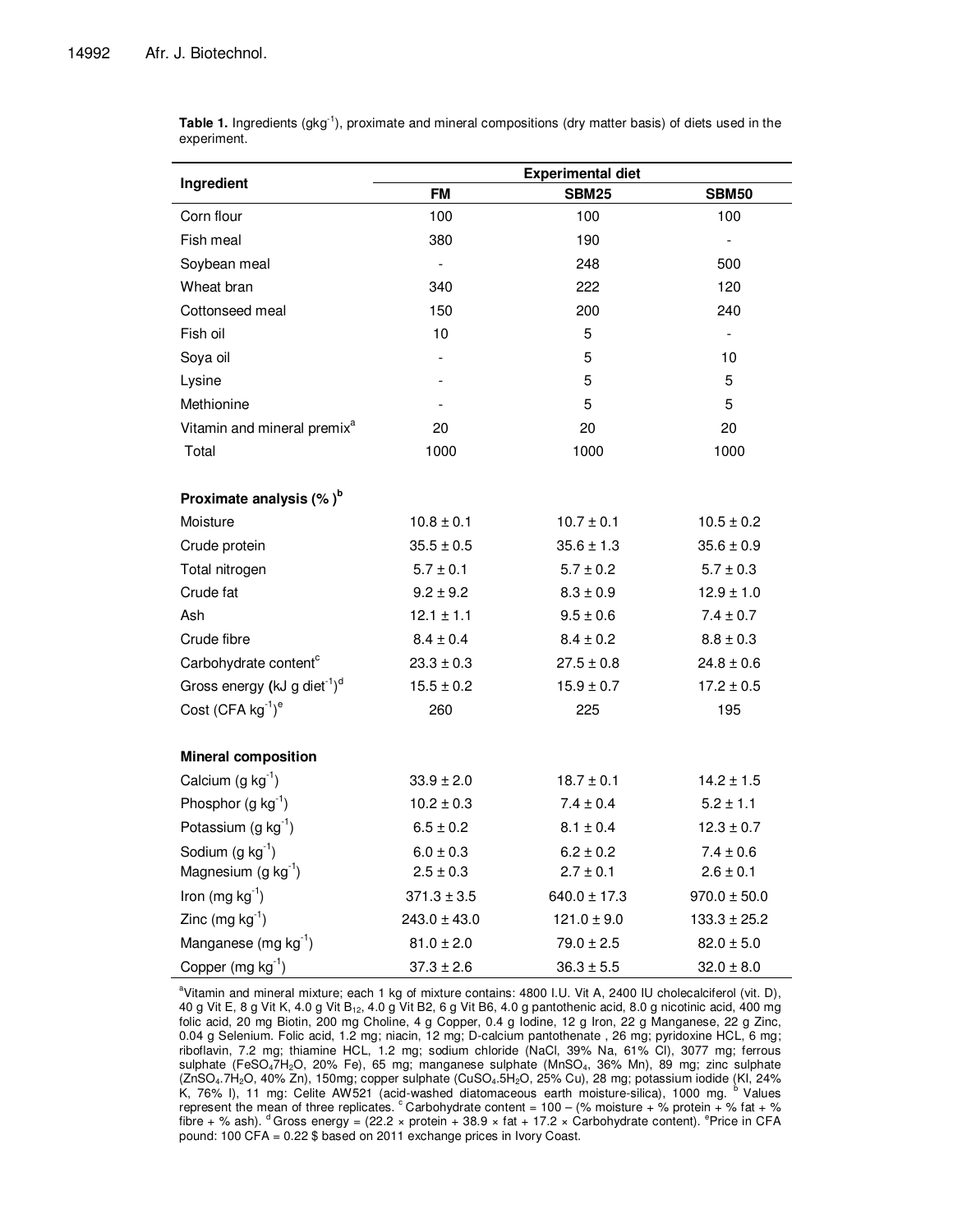Sodium  $(g kg<sup>-1</sup>)$ Magnesium  $(g kg^{-1})$ 

|                                                | <b>Experimental diet</b> |                |                          |  |  |
|------------------------------------------------|--------------------------|----------------|--------------------------|--|--|
| Ingredient                                     | <b>FM</b>                | <b>SBM25</b>   | <b>SBM50</b>             |  |  |
| Corn flour                                     | 100                      | 100            | 100                      |  |  |
| Fish meal                                      | 380                      | 190            |                          |  |  |
| Soybean meal                                   |                          | 248            | 500                      |  |  |
| Wheat bran                                     | 340                      | 222            | 120                      |  |  |
| Cottonseed meal                                | 150                      | 200            | 240                      |  |  |
| Fish oil                                       | 10                       | 5              | $\overline{\phantom{a}}$ |  |  |
| Soya oil                                       |                          | 5              | 10                       |  |  |
| Lysine                                         |                          | 5              | 5                        |  |  |
| Methionine                                     |                          | 5              | 5                        |  |  |
| Vitamin and mineral premix <sup>a</sup>        | 20                       | 20             | 20                       |  |  |
| Total                                          | 1000                     | 1000           | 1000                     |  |  |
| Proximate analysis $(\%)^b$                    |                          |                |                          |  |  |
| Moisture                                       | $10.8 \pm 0.1$           | $10.7 \pm 0.1$ | $10.5 \pm 0.2$           |  |  |
| Crude protein                                  | $35.5 \pm 0.5$           | $35.6 \pm 1.3$ | $35.6 \pm 0.9$           |  |  |
| Total nitrogen                                 | $5.7 \pm 0.1$            | $5.7 \pm 0.2$  | $5.7 \pm 0.3$            |  |  |
| Crude fat                                      | $9.2 \pm 9.2$            | $8.3 \pm 0.9$  | $12.9 \pm 1.0$           |  |  |
| Ash                                            | $12.1 \pm 1.1$           | $9.5 \pm 0.6$  | $7.4 \pm 0.7$            |  |  |
| Crude fibre                                    | $8.4 \pm 0.4$            | $8.4 \pm 0.2$  | $8.8 \pm 0.3$            |  |  |
| Carbohydrate content <sup>c</sup>              | $23.3 \pm 0.3$           | $27.5 \pm 0.8$ | $24.8 \pm 0.6$           |  |  |
| Gross energy (kJ g diet $^{-1}$ ) <sup>d</sup> | $15.5 \pm 0.2$           | $15.9 \pm 0.7$ | $17.2 \pm 0.5$           |  |  |
| Cost $(CFA kg^{-1})^e$                         | 260                      | 225            | 195                      |  |  |
| <b>Mineral composition</b>                     |                          |                |                          |  |  |
| Calcium (g $kg^{-1}$ )                         | $33.9 \pm 2.0$           | $18.7 \pm 0.1$ | $14.2 \pm 1.5$           |  |  |
| Phosphor $(g kg^{-1})$                         | $10.2 \pm 0.3$           | $7.4 \pm 0.4$  | $5.2 \pm 1.1$            |  |  |

**Table 1.** Ingredients (gkg<sup>-1</sup>), proximate and mineral compositions (dry matter basis) of diets used in the experiment.

a Vitamin and mineral mixture; each 1 kg of mixture contains: 4800 I.U. Vit A, 2400 IU cholecalciferol (vit. D), 40 g Vit E, 8 g Vit K, 4.0 g Vit B<sub>12</sub>, 4.0 g Vit B2, 6 g Vit B6, 4.0 g pantothenic acid, 8.0 g nicotinic acid, 400 mg folic acid, 20 mg Biotin, 200 mg Choline, 4 g Copper, 0.4 g Iodine, 12 g Iron, 22 g Manganese, 22 g Zinc, 0.04 g Selenium. Folic acid, 1.2 mg; niacin, 12 mg; D-calcium pantothenate , 26 mg; pyridoxine HCL, 6 mg; riboflavin, 7.2 mg; thiamine HCL, 1.2 mg; sodium chloride (NaCl, 39% Na, 61% Cl), 3077 mg; ferrous sulphate (FeSO47H2O, 20% Fe), 65 mg; manganese sulphate (MnSO4, 36% Mn), 89 mg; zinc sulphate Sulphate (Feodaringo, 20% Fo), to mig, manganood calphate (milionalism) correlations (ZnSO4.7H<sub>2</sub>O, 40% Zn), 150mg; copper sulphate (CuSO<sub>4</sub>.5H<sub>2</sub>O, 25% Cu), 28 mg; potassium iodide (KI, 24% potassium iodide (KI, 24% potas K, 76% I), 11 mg: Celite AW521 (acid-washed diatomaceous earth moisture-silica), 1000 mg. represent the mean of three replicates.  $\degree$  Carbohydrate content = 100 – (% moisture + % protein + % fat + % fibre + % ash). <sup>d</sup> Gross energy = (22.2 × protein + 38.9 × fat + 17.2 × Carbohydrate content). <sup>e</sup>Price in CFA pound: 100 CFA = 0.22 \$ based on 2011 exchange prices in Ivory Coast.

Potassium (g kg<sup>-1</sup>) 6.5 ± 0.2 8.1 ± 0.4 12.3 ± 0.7

Iron (mg kg<sup>-1</sup>) 371.3 ± 3.5 640.0 ± 17.3 970.0 ± 50.0 Zinc (mg kg<sup>-1</sup>) 243.0 ± 43.0 121.0 ± 9.0 133.3 ± 25.2 Manganese (mg kg<sup>-1</sup>) 81.0 ± 2.0 79.0 ± 2.5 82.0 ± 5.0 Copper (mg kg<sup>-1</sup>) 37.3 ± 2.6 36.3 ± 5.5 32.0 ± 8.0

 $6.2 \pm 0.2$  $2.7 \pm 0.1$   $7.4 \pm 0.6$  $2.6 \pm 0.1$ 

 $6.0 \pm 0.3$  $2.5 \pm 0.3$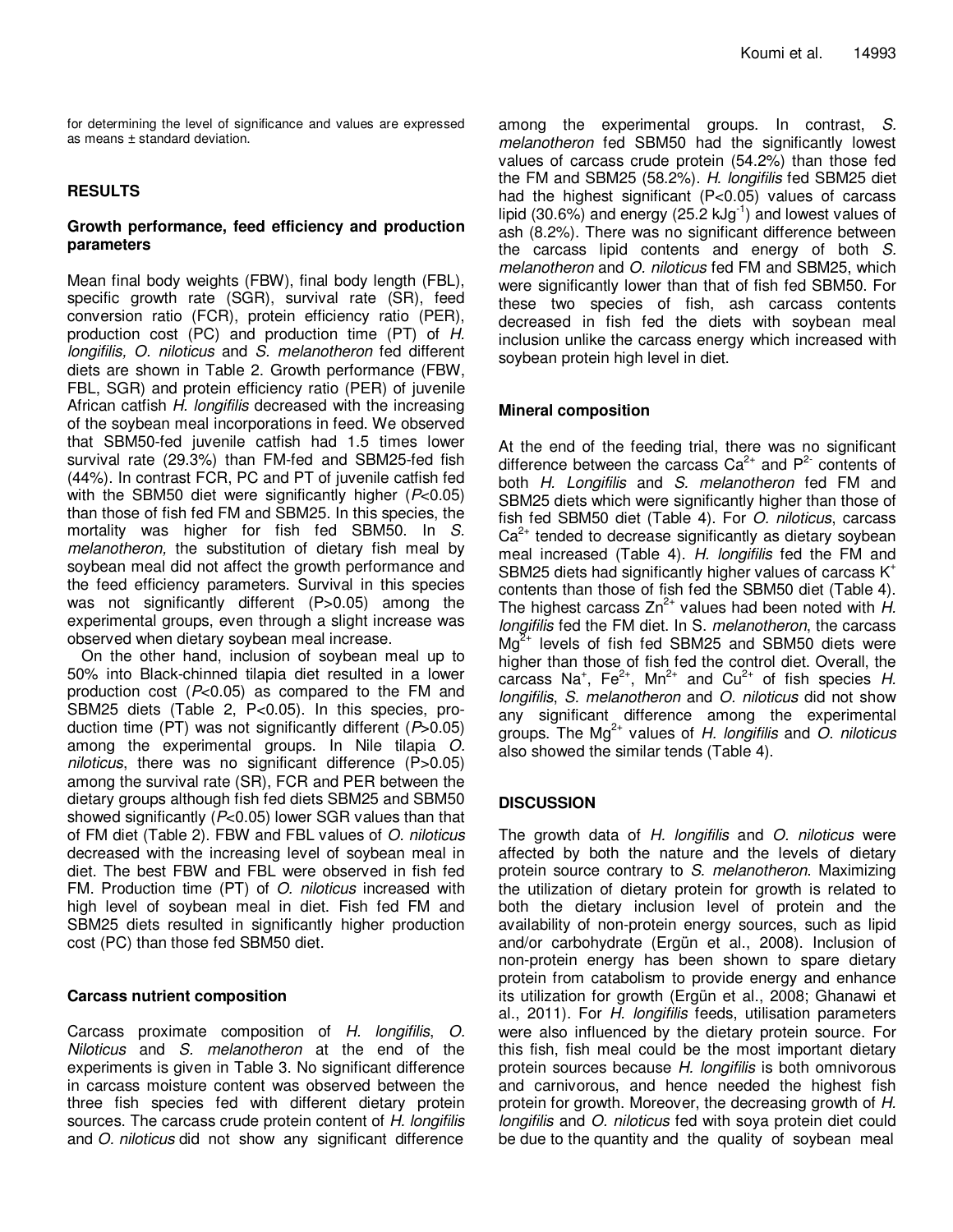for determining the level of significance and values are expressed as means ± standard deviation.

## **RESULTS**

## **Growth performance, feed efficiency and production parameters**

Mean final body weights (FBW), final body length (FBL), specific growth rate (SGR), survival rate (SR), feed conversion ratio (FCR), protein efficiency ratio (PER), production cost (PC) and production time (PT) of H. longifilis, O. niloticus and S. melanotheron fed different diets are shown in Table 2. Growth performance (FBW, FBL, SGR) and protein efficiency ratio (PER) of juvenile African catfish H. longifilis decreased with the increasing of the soybean meal incorporations in feed. We observed that SBM50-fed juvenile catfish had 1.5 times lower survival rate (29.3%) than FM-fed and SBM25-fed fish (44%). In contrast FCR, PC and PT of juvenile catfish fed with the SBM50 diet were significantly higher  $(P<0.05)$ than those of fish fed FM and SBM25. In this species, the mortality was higher for fish fed SBM50. In S. melanotheron, the substitution of dietary fish meal by soybean meal did not affect the growth performance and the feed efficiency parameters. Survival in this species was not significantly different (P>0.05) among the experimental groups, even through a slight increase was observed when dietary soybean meal increase.

On the other hand, inclusion of soybean meal up to 50% into Black-chinned tilapia diet resulted in a lower production cost  $(P<0.05)$  as compared to the FM and SBM25 diets (Table 2, P<0.05). In this species, production time (PT) was not significantly different  $(P>0.05)$ among the experimental groups. In Nile tilapia O. niloticus, there was no significant difference (P>0.05) among the survival rate (SR), FCR and PER between the dietary groups although fish fed diets SBM25 and SBM50 showed significantly  $(P<0.05)$  lower SGR values than that of FM diet (Table 2). FBW and FBL values of O. niloticus decreased with the increasing level of soybean meal in diet. The best FBW and FBL were observed in fish fed FM. Production time (PT) of *O. niloticus* increased with high level of soybean meal in diet. Fish fed FM and SBM25 diets resulted in significantly higher production cost (PC) than those fed SBM50 diet.

## **Carcass nutrient composition**

Carcass proximate composition of H. longifilis, O. Niloticus and S. melanotheron at the end of the experiments is given in Table 3. No significant difference in carcass moisture content was observed between the three fish species fed with different dietary protein sources. The carcass crude protein content of H. longifilis and O. niloticus did not show any significant difference among the experimental groups. In contrast, S. melanotheron fed SBM50 had the significantly lowest values of carcass crude protein (54.2%) than those fed the FM and SBM25 (58.2%). H. longifilis fed SBM25 diet had the highest significant (P<0.05) values of carcass lipid (30.6%) and energy (25.2 kJg<sup>-1</sup>) and lowest values of ash (8.2%). There was no significant difference between the carcass lipid contents and energy of both S. melanotheron and O. niloticus fed FM and SBM25, which were significantly lower than that of fish fed SBM50. For these two species of fish, ash carcass contents decreased in fish fed the diets with soybean meal inclusion unlike the carcass energy which increased with soybean protein high level in diet.

## **Mineral composition**

At the end of the feeding trial, there was no significant difference between the carcass  $Ca^{2+}$  and  $P^{2-}$  contents of both H. Longifilis and S. melanotheron fed FM and SBM25 diets which were significantly higher than those of fish fed SBM50 diet (Table 4). For *O. niloticus*, carcass  $Ca<sup>2+</sup>$  tended to decrease significantly as dietary soybean meal increased (Table 4). H. longifilis fed the FM and SBM25 diets had significantly higher values of carcass  $K^*$ contents than those of fish fed the SBM50 diet (Table 4). The highest carcass  $Zn^{2+}$  values had been noted with  $H$ . longifilis fed the FM diet. In S. melanotheron, the carcass  $\text{Ma}^{2+}$  levels of fish fed SBM25 and SBM50 diets were higher than those of fish fed the control diet. Overall, the carcass Na<sup>+</sup>, Fe<sup>2+</sup>, Mn<sup>2+</sup> and Cu<sup>2+</sup> of fish species H. longifilis, S. melanotheron and O. niloticus did not show any significant difference among the experimental groups. The Mg<sup>2+</sup> values of H. longifilis and O. niloticus also showed the similar tends (Table 4).

## **DISCUSSION**

The growth data of H. longifilis and O. niloticus were affected by both the nature and the levels of dietary protein source contrary to S. melanotheron. Maximizing the utilization of dietary protein for growth is related to both the dietary inclusion level of protein and the availability of non-protein energy sources, such as lipid and/or carbohydrate (Ergün et al., 2008). Inclusion of non-protein energy has been shown to spare dietary protein from catabolism to provide energy and enhance its utilization for growth (Ergün et al., 2008; Ghanawi et al., 2011). For H. longifilis feeds, utilisation parameters were also influenced by the dietary protein source. For this fish, fish meal could be the most important dietary protein sources because H. longifilis is both omnivorous and carnivorous, and hence needed the highest fish protein for growth. Moreover, the decreasing growth of H. longifilis and O. niloticus fed with soya protein diet could be due to the quantity and the quality of soybean meal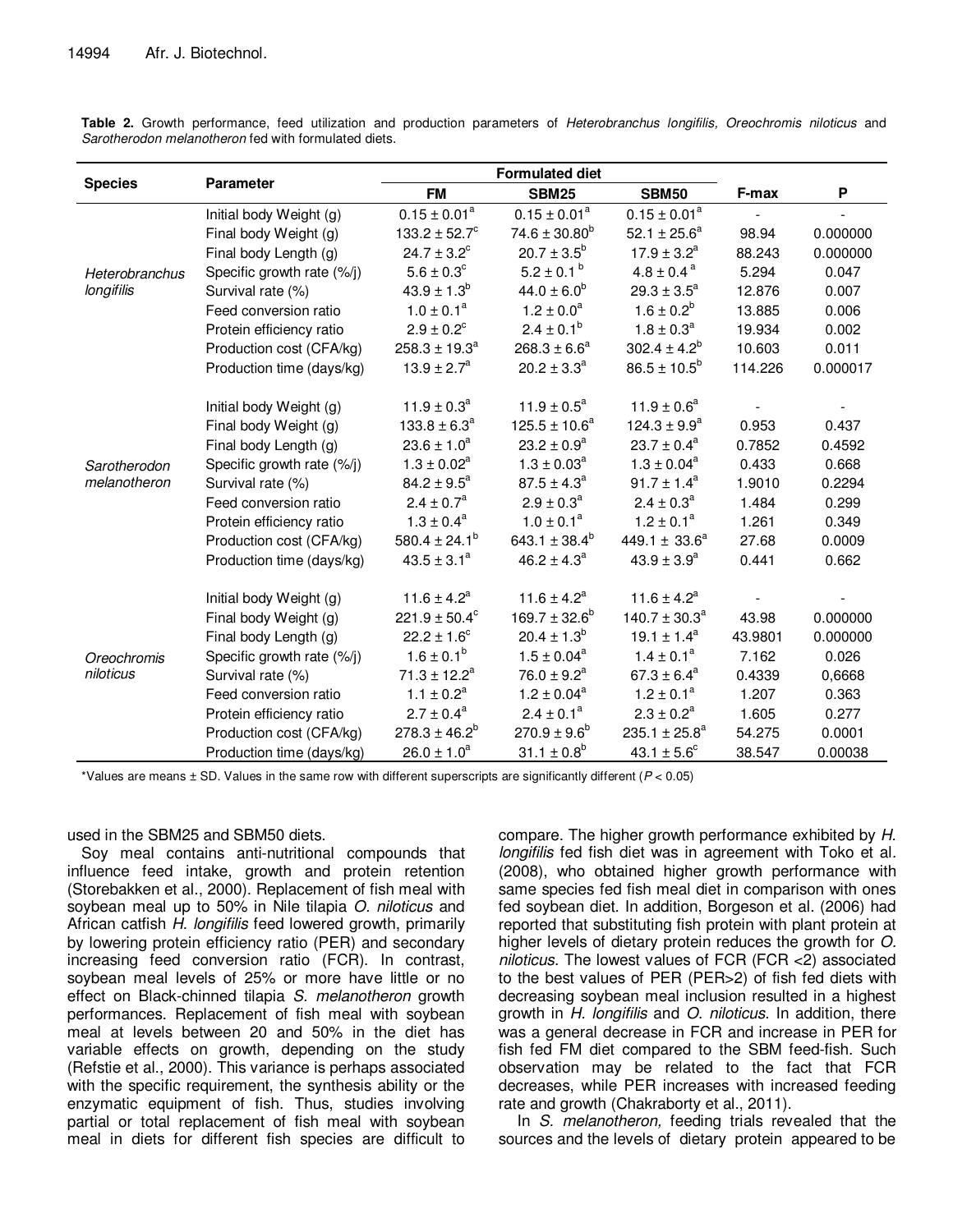|                              | <b>Parameter</b>           | <b>Formulated diet</b>    |                           |                               |         |          |
|------------------------------|----------------------------|---------------------------|---------------------------|-------------------------------|---------|----------|
| <b>Species</b>               |                            | <b>FM</b>                 | <b>SBM25</b>              | <b>SBM50</b>                  | F-max   | P        |
| Heterobranchus<br>longifilis | Initial body Weight (g)    | $0.15 \pm 0.01^a$         | $0.15 \pm 0.01^a$         | $0.15 \pm 0.01^a$             |         |          |
|                              | Final body Weight (g)      | $133.2 \pm 52.7^{\circ}$  | $74.6 \pm 30.80^b$        | 52.1 $\pm$ 25.6 <sup>a</sup>  | 98.94   | 0.000000 |
|                              | Final body Length (g)      | $24.7 \pm 3.2^{\circ}$    | $20.7 \pm 3.5^b$          | $17.9 \pm 3.2^a$              | 88.243  | 0.000000 |
|                              | Specific growth rate (%/j) | $5.6 \pm 0.3^{\circ}$     | $5.2 \pm 0.1^{\circ}$     | $4.8 \pm 0.4^{\text{a}}$      | 5.294   | 0.047    |
|                              | Survival rate (%)          | $43.9 \pm 1.3^b$          | $44.0 \pm 6.0^b$          | $29.3 \pm 3.5^a$              | 12.876  | 0.007    |
|                              | Feed conversion ratio      | $1.0 \pm 0.1^a$           | $1.2 \pm 0.0^a$           | $1.6 \pm 0.2^b$               | 13.885  | 0.006    |
|                              | Protein efficiency ratio   | $2.9 \pm 0.2^{\circ}$     | $2.4 \pm 0.1^b$           | $1.8 \pm 0.3^a$               | 19.934  | 0.002    |
|                              | Production cost (CFA/kg)   | $258.3 \pm 19.3^a$        | $268.3 \pm 6.6^a$         | $302.4 \pm 4.2^b$             | 10.603  | 0.011    |
|                              | Production time (days/kg)  | $13.9 \pm 2.7^a$          | $20.2 \pm 3.3^a$          | $86.5 \pm 10.5^b$             | 114.226 | 0.000017 |
|                              |                            |                           |                           |                               |         |          |
|                              | Initial body Weight (g)    | $11.9 \pm 0.3^a$          | $11.9 \pm 0.5^a$          | $11.9 \pm 0.6^a$              |         |          |
|                              | Final body Weight (g)      | $133.8 \pm 6.3^a$         | $125.5 \pm 10.6^a$        | $124.3 \pm 9.9^a$             | 0.953   | 0.437    |
|                              | Final body Length (g)      | $23.6 \pm 1.0^a$          | $23.2 \pm 0.9^a$          | $23.7 \pm 0.4^a$              | 0.7852  | 0.4592   |
| Sarotherodon                 | Specific growth rate (%/j) | $1.3 \pm 0.02^a$          | $1.3 \pm 0.03^a$          | $1.3 \pm 0.04^a$              | 0.433   | 0.668    |
| melanotheron                 | Survival rate (%)          | $84.2 \pm 9.5^a$          | $87.5 \pm 4.3^a$          | $91.7 \pm 1.4^a$              | 1.9010  | 0.2294   |
|                              | Feed conversion ratio      | $2.4 \pm 0.7^{\rm a}$     | $2.9 \pm 0.3^a$           | $2.4 \pm 0.3^a$               | 1.484   | 0.299    |
|                              | Protein efficiency ratio   | $1.3 \pm 0.4^a$           | $1.0 \pm 0.1^a$           | $1.2 \pm 0.1^a$               | 1.261   | 0.349    |
|                              | Production cost (CFA/kg)   | 580.4 ± 24.1 <sup>b</sup> | 643.1 ± 38.4 <sup>b</sup> | 449.1 $\pm$ 33.6 <sup>a</sup> | 27.68   | 0.0009   |
|                              | Production time (days/kg)  | $43.5 \pm 3.1^a$          | $46.2 \pm 4.3^a$          | $43.9 \pm 3.9^a$              | 0.441   | 0.662    |
|                              |                            |                           |                           |                               |         |          |
| Oreochromis<br>niloticus     | Initial body Weight (g)    | $11.6 \pm 4.2^a$          | $11.6 \pm 4.2^a$          | $11.6 \pm 4.2^a$              |         |          |
|                              | Final body Weight (g)      | $221.9 \pm 50.4^{\circ}$  | $169.7 \pm 32.6^b$        | $140.7 \pm 30.3^a$            | 43.98   | 0.000000 |
|                              | Final body Length (g)      | $22.2 \pm 1.6^{\circ}$    | $20.4 \pm 1.3^b$          | $19.1 \pm 1.4^a$              | 43.9801 | 0.000000 |
|                              | Specific growth rate (%/j) | $1.6 \pm 0.1^b$           | $1.5 \pm 0.04^a$          | $1.4 \pm 0.1^a$               | 7.162   | 0.026    |
|                              | Survival rate (%)          | $71.3 \pm 12.2^a$         | $76.0 \pm 9.2^a$          | $67.3 \pm 6.4^a$              | 0.4339  | 0,6668   |
|                              | Feed conversion ratio      | $1.1 \pm 0.2^a$           | $1.2 \pm 0.04^a$          | $1.2 \pm 0.1^a$               | 1.207   | 0.363    |
|                              | Protein efficiency ratio   | $2.7 \pm 0.4^a$           | $2.4 \pm 0.1^a$           | $2.3 \pm 0.2^a$               | 1.605   | 0.277    |
|                              | Production cost (CFA/kg)   | $278.3 \pm 46.2^b$        | $270.9 \pm 9.6^b$         | $235.1 \pm 25.8^a$            | 54.275  | 0.0001   |
|                              | Production time (days/kg)  | $26.0 \pm 1.0^a$          | $31.1 \pm 0.8^b$          | $43.1 \pm 5.6^{\circ}$        | 38.547  | 0.00038  |

**Table 2.** Growth performance, feed utilization and production parameters of Heterobranchus longifilis, Oreochromis niloticus and Sarotherodon melanotheron fed with formulated diets.

\*Values are means  $\pm$  SD. Values in the same row with different superscripts are significantly different ( $P < 0.05$ )

used in the SBM25 and SBM50 diets.

Soy meal contains anti-nutritional compounds that influence feed intake, growth and protein retention (Storebakken et al., 2000). Replacement of fish meal with soybean meal up to 50% in Nile tilapia O. niloticus and African catfish H. longifilis feed lowered growth, primarily by lowering protein efficiency ratio (PER) and secondary increasing feed conversion ratio (FCR). In contrast, soybean meal levels of 25% or more have little or no effect on Black-chinned tilapia S. melanotheron growth performances. Replacement of fish meal with soybean meal at levels between 20 and 50% in the diet has variable effects on growth, depending on the study (Refstie et al., 2000). This variance is perhaps associated with the specific requirement, the synthesis ability or the enzymatic equipment of fish. Thus, studies involving partial or total replacement of fish meal with soybean meal in diets for different fish species are difficult to

compare. The higher growth performance exhibited by H. longifilis fed fish diet was in agreement with Toko et al. (2008), who obtained higher growth performance with same species fed fish meal diet in comparison with ones fed soybean diet. In addition, Borgeson et al. (2006) had reported that substituting fish protein with plant protein at higher levels of dietary protein reduces the growth for O. niloticus. The lowest values of FCR (FCR <2) associated to the best values of PER (PER>2) of fish fed diets with decreasing soybean meal inclusion resulted in a highest growth in H. longifilis and O. niloticus. In addition, there was a general decrease in FCR and increase in PER for fish fed FM diet compared to the SBM feed-fish. Such observation may be related to the fact that FCR decreases, while PER increases with increased feeding rate and growth (Chakraborty et al., 2011).

In S. melanotheron, feeding trials revealed that the sources and the levels of dietary protein appeared to be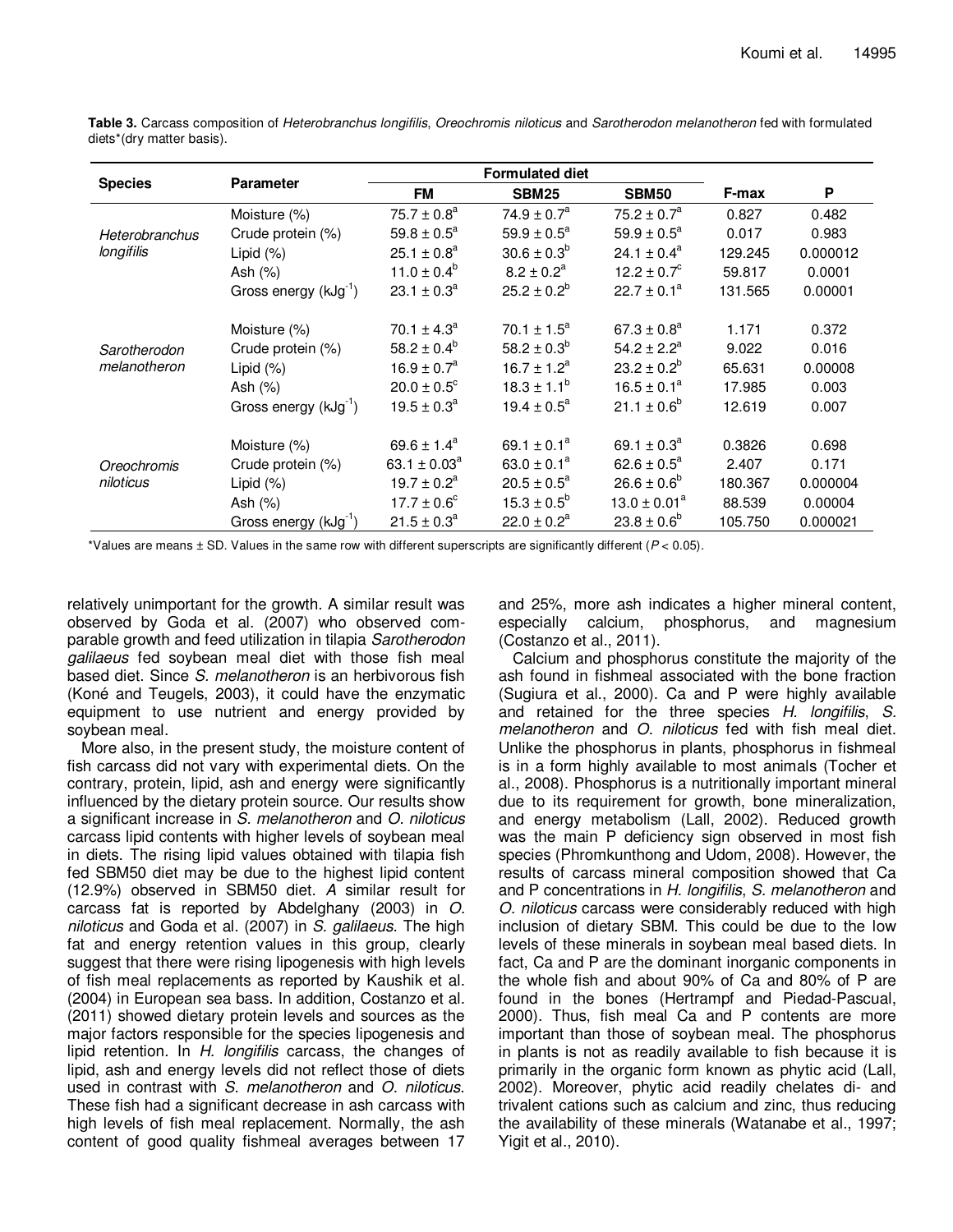|                                     | <b>Parameter</b>                  | <b>Formulated diet</b>       |                             |                             |         |          |
|-------------------------------------|-----------------------------------|------------------------------|-----------------------------|-----------------------------|---------|----------|
| <b>Species</b>                      |                                   | <b>FM</b>                    | <b>SBM25</b>                | <b>SBM50</b>                | F-max   | P        |
| <b>Heterobranchus</b><br>longifilis | Moisture (%)                      | $75.7 \pm 0.8^{\circ}$       | $74.9 \pm 0.7^{\circ}$      | $75.2 \pm 0.7^{\circ}$      | 0.827   | 0.482    |
|                                     | Crude protein (%)                 | $59.8 \pm 0.5^a$             | $59.9 \pm 0.5^{\circ}$      | $59.9 \pm 0.5^a$            | 0.017   | 0.983    |
|                                     | Lipid (%)                         | $25.1 \pm 0.8^a$             | $30.6 \pm 0.3^b$            | $24.1 \pm 0.4^a$            | 129.245 | 0.000012 |
|                                     | Ash $(%)$                         | $11.0 \pm 0.4^b$             | $8.2 \pm 0.2^a$             | $12.2 \pm 0.7^{\circ}$      | 59.817  | 0.0001   |
|                                     | Gross energy $(kJg^{-1})$         | $23.1 \pm 0.3^a$             | $25.2 \pm 0.2^b$            | $22.7 \pm 0.1^a$            | 131.565 | 0.00001  |
|                                     | Moisture (%)                      | $70.1 \pm 4.3^{\circ}$       | $70.1 \pm 1.5^a$            | $67.3 \pm 0.8^a$            | 1.171   | 0.372    |
| Sarotherodon                        | Crude protein (%)                 | $58.2 \pm 0.4^{\circ}$       | $58.2 \pm 0.3^{\circ}$      | $54.2 \pm 2.2^a$            | 9.022   | 0.016    |
| melanotheron                        | Lipid $(\%)$                      | $16.9 \pm 0.7^a$             | $16.7 \pm 1.2^a$            | $23.2 \pm 0.2^{\circ}$      | 65.631  | 0.00008  |
|                                     | Ash $(%)$                         | $20.0 \pm 0.5^{\circ}$       | $18.3 \pm 1.1^b$            | $16.5 \pm 0.1^a$            | 17.985  | 0.003    |
|                                     | Gross energy $(kJg^{-1})$         | $19.5 \pm 0.3^{\circ}$       | $19.4 \pm 0.5^{\circ}$      | $21.1 \pm 0.6^{\circ}$      | 12.619  | 0.007    |
| Oreochromis<br>niloticus            | Moisture (%)                      | $69.6 \pm 1.4^a$             | 69.1 $\pm$ 0.1 <sup>a</sup> | 69.1 $\pm$ 0.3 <sup>a</sup> | 0.3826  | 0.698    |
|                                     | Crude protein (%)                 | 63.1 $\pm$ 0.03 <sup>a</sup> | $63.0 \pm 0.1^a$            | $62.6 \pm 0.5^{\circ}$      | 2.407   | 0.171    |
|                                     | Lipid $(\%)$                      | $19.7 \pm 0.2^a$             | $20.5 \pm 0.5^{\circ}$      | $26.6 \pm 0.6^{\circ}$      | 180.367 | 0.000004 |
|                                     | Ash $(%)$                         | $17.7 \pm 0.6^{\circ}$       | $15.3 \pm 0.5^{\circ}$      | $13.0 \pm 0.01^a$           | 88.539  | 0.00004  |
|                                     | Gross energy (kJg <sup>-1</sup> ) | $21.5 \pm 0.3^a$             | $22.0 \pm 0.2^a$            | $23.8 \pm 0.6^{\circ}$      | 105.750 | 0.000021 |

**Table 3.** Carcass composition of Heterobranchus longifilis, Oreochromis niloticus and Sarotherodon melanotheron fed with formulated diets\*(dry matter basis).

\*Values are means  $\pm$  SD. Values in the same row with different superscripts are significantly different ( $P < 0.05$ ).

relatively unimportant for the growth. A similar result was observed by Goda et al. (2007) who observed comparable growth and feed utilization in tilapia Sarotherodon galilaeus fed soybean meal diet with those fish meal based diet. Since S. melanotheron is an herbivorous fish (Koné and Teugels, 2003), it could have the enzymatic equipment to use nutrient and energy provided by soybean meal.

More also, in the present study, the moisture content of fish carcass did not vary with experimental diets. On the contrary, protein, lipid, ash and energy were significantly influenced by the dietary protein source. Our results show a significant increase in S. melanotheron and O. niloticus carcass lipid contents with higher levels of soybean meal in diets. The rising lipid values obtained with tilapia fish fed SBM50 diet may be due to the highest lipid content (12.9%) observed in SBM50 diet. A similar result for carcass fat is reported by Abdelghany (2003) in O. niloticus and Goda et al. (2007) in S. galilaeus. The high fat and energy retention values in this group, clearly suggest that there were rising lipogenesis with high levels of fish meal replacements as reported by Kaushik et al. (2004) in European sea bass. In addition, Costanzo et al. (2011) showed dietary protein levels and sources as the major factors responsible for the species lipogenesis and lipid retention. In H. longifilis carcass, the changes of lipid, ash and energy levels did not reflect those of diets used in contrast with S. melanotheron and O. niloticus. These fish had a significant decrease in ash carcass with high levels of fish meal replacement. Normally, the ash content of good quality fishmeal averages between 17

and 25%, more ash indicates a higher mineral content, especially calcium, phosphorus, and magnesium (Costanzo et al., 2011).

Calcium and phosphorus constitute the majority of the ash found in fishmeal associated with the bone fraction (Sugiura et al., 2000). Ca and P were highly available and retained for the three species H. longifilis, S. melanotheron and O. niloticus fed with fish meal diet. Unlike the phosphorus in plants, phosphorus in fishmeal is in a form highly available to most animals (Tocher et al., 2008). Phosphorus is a nutritionally important mineral due to its requirement for growth, bone mineralization, and energy metabolism (Lall, 2002). Reduced growth was the main P deficiency sign observed in most fish species (Phromkunthong and Udom, 2008). However, the results of carcass mineral composition showed that Ca and P concentrations in H. longifilis, S. melanotheron and O. niloticus carcass were considerably reduced with high inclusion of dietary SBM. This could be due to the low levels of these minerals in soybean meal based diets. In fact, Ca and P are the dominant inorganic components in the whole fish and about 90% of Ca and 80% of P are found in the bones (Hertrampf and Piedad-Pascual, 2000). Thus, fish meal Ca and P contents are more important than those of soybean meal. The phosphorus in plants is not as readily available to fish because it is primarily in the organic form known as phytic acid (Lall, 2002). Moreover, phytic acid readily chelates di- and trivalent cations such as calcium and zinc, thus reducing the availability of these minerals (Watanabe et al., 1997; Yigit et al., 2010).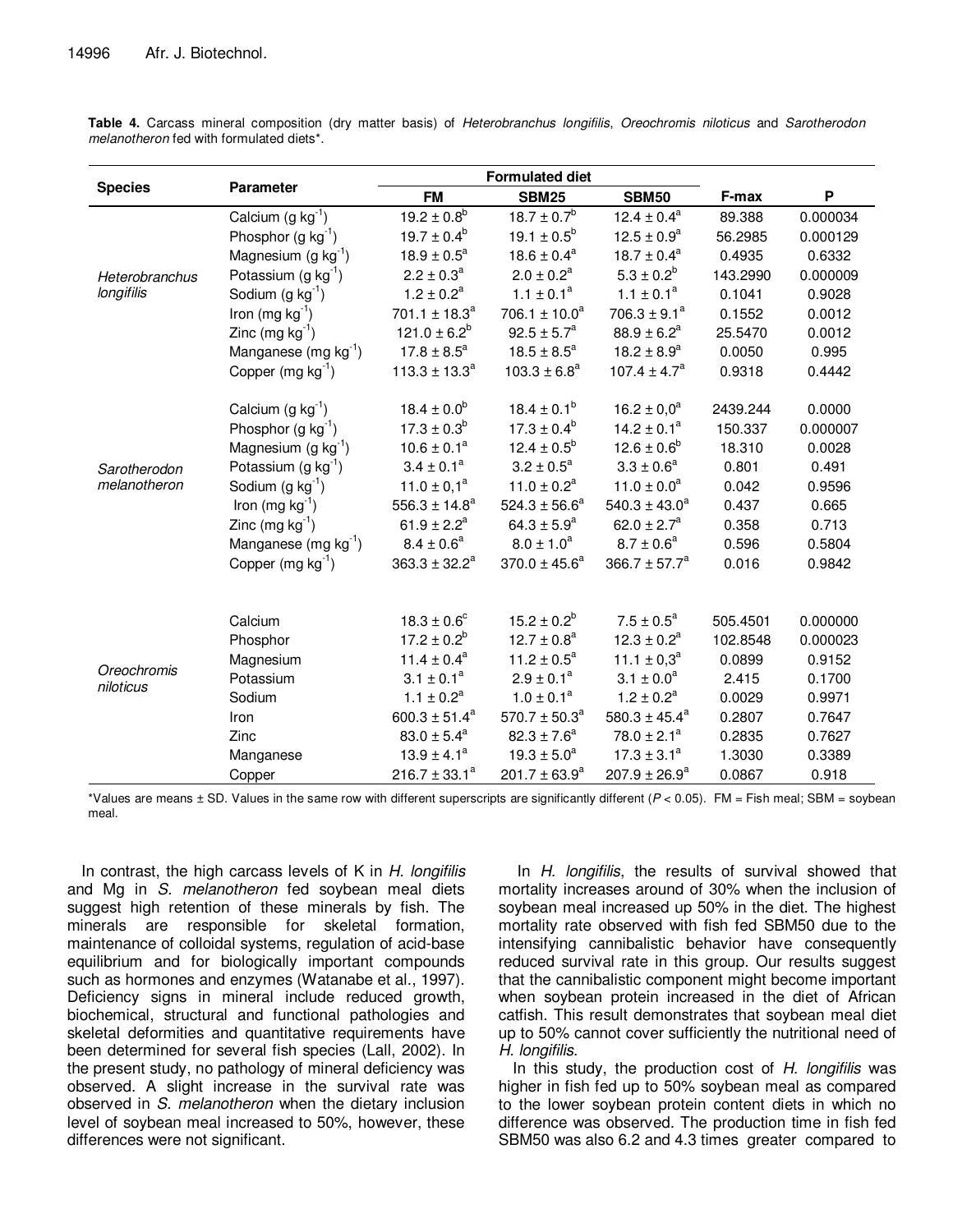|                                    |                                  | <b>Formulated diet</b>    |                    |                             |          |                           |
|------------------------------------|----------------------------------|---------------------------|--------------------|-----------------------------|----------|---------------------------|
| <b>Species</b><br><b>Parameter</b> |                                  | <b>FM</b>                 | <b>SBM25</b>       | <b>SBM50</b>                | F-max    | $\boldsymbol{\mathsf{P}}$ |
|                                    | Calcium $(g kg-1)$               | $19.2 \pm 0.8^b$          | $18.7 \pm 0.7^{5}$ | $12.4 \pm 0.4^a$            | 89.388   | 0.000034                  |
|                                    | Phosphor $(g kg^{-1})$           | $19.7 \pm 0.4^b$          | $19.1 \pm 0.5^b$   | $12.5 \pm 0.9^a$            | 56.2985  | 0.000129                  |
| Heterobranchus<br>longifilis       | Magnesium $(g kg^{-1})$          | $18.9 \pm 0.5^a$          | $18.6 \pm 0.4^a$   | $18.7 \pm 0.4^a$            | 0.4935   | 0.6332                    |
|                                    | Potassium (g $kg^{-1}$ )         | $2.2 \pm 0.3^a$           | $2.0 \pm 0.2^a$    | $5.3 \pm 0.2^b$             | 143.2990 | 0.000009                  |
|                                    | Sodium $(g kg^{-1})$             | $1.2 \pm 0.2^a$           | $1.1 \pm 0.1^a$    | $1.1 \pm 0.1^a$             | 0.1041   | 0.9028                    |
|                                    | Iron (mg $kg^{-1}$ )             | $701.1 \pm 18.3^a$        | $706.1 \pm 10.0^a$ | $706.3 \pm 9.1^a$           | 0.1552   | 0.0012                    |
|                                    | Zinc (mg $kg^{-1}$ )             | $121.0 \pm 6.2^b$         | $92.5 \pm 5.7^a$   | $88.9 \pm 6.2^a$            | 25.5470  | 0.0012                    |
|                                    | Manganese (mg kg <sup>-1</sup> ) | $17.8 \pm 8.5^a$          | $18.5 \pm 8.5^a$   | $18.2 \pm 8.9^a$            | 0.0050   | 0.995                     |
|                                    | Copper $(mg kg-1)$               | $113.3 \pm 13.3^a$        | $103.3 \pm 6.8^a$  | $107.4 \pm 4.7^a$           | 0.9318   | 0.4442                    |
|                                    |                                  |                           |                    |                             |          |                           |
|                                    | Calcium $(g kg^{-1})$            | $18.4 \pm 0.0^b$          | $18.4 \pm 0.1^b$   | $16.2 \pm 0.0^a$            | 2439.244 | 0.0000                    |
|                                    | Phosphor $(g kg^{-1})$           | $17.3 \pm 0.3^b$          | $17.3 \pm 0.4^b$   | $14.2 \pm 0.1^a$            | 150.337  | 0.000007                  |
|                                    | Magnesium $(g kg^{-1})$          | $10.6 \pm 0.1^a$          | $12.4 \pm 0.5^b$   | $12.6 \pm 0.6^b$            | 18.310   | 0.0028                    |
| Sarotherodon                       | Potassium (g $kg^{-1}$ )         | $3.4 \pm 0.1^a$           | $3.2 \pm 0.5^a$    | $3.3 \pm 0.6^a$             | 0.801    | 0.491                     |
| melanotheron                       | Sodium $(g kg^{-1})$             | $11.0 \pm 0.1^a$          | $11.0 \pm 0.2^a$   | $11.0 \pm 0.0^a$            | 0.042    | 0.9596                    |
|                                    | Iron (mg $kg^{-1}$ )             | 556.3 ± 14.8 <sup>a</sup> | $524.3 \pm 56.6^a$ | $540.3 \pm 43.0^a$          | 0.437    | 0.665                     |
|                                    | Zinc (mg $kg^{-1}$ )             | $61.9 \pm 2.2^a$          | 64.3 ± $5.9^a$     | 62.0 ± $2.7^a$              | 0.358    | 0.713                     |
|                                    | Manganese (mg kg <sup>-1</sup> ) | $8.4 \pm 0.6^a$           | $8.0 \pm 1.0^a$    | $8.7 \pm 0.6^a$             | 0.596    | 0.5804                    |
|                                    | Copper $(mg kg^{-1})$            | $363.3 \pm 32.2^a$        | $370.0 \pm 45.6^a$ | $366.7 \pm 57.7^a$          | 0.016    | 0.9842                    |
|                                    |                                  |                           |                    |                             |          |                           |
| Oreochromis<br>niloticus           | Calcium                          | $18.3 \pm 0.6^c$          | $15.2 \pm 0.2^b$   | $7.5 \pm 0.5^a$             | 505.4501 | 0.000000                  |
|                                    | Phosphor                         | $17.2 \pm 0.2^b$          | $12.7 \pm 0.8^a$   | $12.3 \pm 0.2^a$            | 102.8548 | 0.000023                  |
|                                    | Magnesium                        | $11.4 \pm 0.4^a$          | $11.2 \pm 0.5^a$   | 11.1 $\pm$ 0,3 <sup>a</sup> | 0.0899   | 0.9152                    |
|                                    | Potassium                        | $3.1 \pm 0.1^a$           | $2.9 \pm 0.1^a$    | $3.1 \pm 0.0^a$             | 2.415    | 0.1700                    |
|                                    | Sodium                           | $1.1 \pm 0.2^a$           | $1.0 \pm 0.1^a$    | $1.2 \pm 0.2^a$             | 0.0029   | 0.9971                    |
|                                    | Iron                             | 600.3 ± 51.4 <sup>a</sup> | $570.7 \pm 50.3^a$ | 580.3 ± 45.4 <sup>a</sup>   | 0.2807   | 0.7647                    |
|                                    | Zinc                             | $83.0 \pm 5.4^a$          | $82.3 \pm 7.6^a$   | $78.0 \pm 2.1^a$            | 0.2835   | 0.7627                    |
|                                    | Manganese                        | $13.9 \pm 4.1^a$          | $19.3 \pm 5.0^a$   | $17.3 \pm 3.1^a$            | 1.3030   | 0.3389                    |
|                                    | Copper                           | $216.7 \pm 33.1^a$        | $201.7 \pm 63.9^a$ | $207.9 \pm 26.9^a$          | 0.0867   | 0.918                     |

**Table 4.** Carcass mineral composition (dry matter basis) of Heterobranchus longifilis, Oreochromis niloticus and Sarotherodon melanotheron fed with formulated diets\*.

\*Values are means  $\pm$  SD. Values in the same row with different superscripts are significantly different  $(P < 0.05)$ . FM = Fish meal; SBM = soybean meal.

In contrast, the high carcass levels of K in H. longifilis and Mg in S. melanotheron fed soybean meal diets suggest high retention of these minerals by fish. The minerals are responsible for skeletal formation, maintenance of colloidal systems, regulation of acid-base equilibrium and for biologically important compounds such as hormones and enzymes (Watanabe et al., 1997). Deficiency signs in mineral include reduced growth, biochemical, structural and functional pathologies and skeletal deformities and quantitative requirements have been determined for several fish species (Lall, 2002). In the present study, no pathology of mineral deficiency was observed. A slight increase in the survival rate was observed in S. melanotheron when the dietary inclusion level of soybean meal increased to 50%, however, these differences were not significant.

In H. longifilis, the results of survival showed that mortality increases around of 30% when the inclusion of soybean meal increased up 50% in the diet. The highest mortality rate observed with fish fed SBM50 due to the intensifying cannibalistic behavior have consequently reduced survival rate in this group. Our results suggest that the cannibalistic component might become important when soybean protein increased in the diet of African catfish. This result demonstrates that soybean meal diet up to 50% cannot cover sufficiently the nutritional need of H. longifilis.

In this study, the production cost of  $H$ . longifilis was higher in fish fed up to 50% soybean meal as compared to the lower soybean protein content diets in which no difference was observed. The production time in fish fed SBM50 was also 6.2 and 4.3 times greater compared to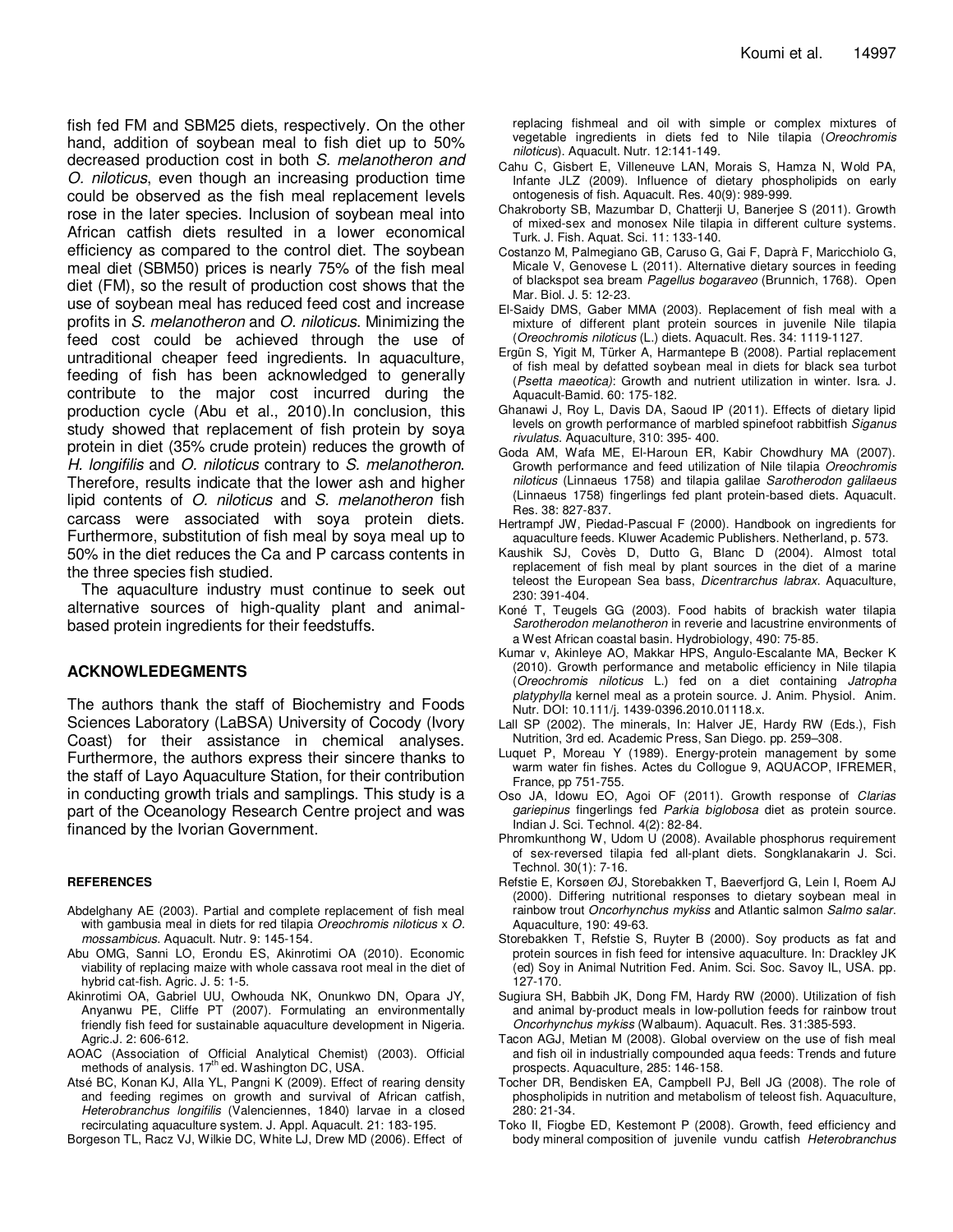fish fed FM and SBM25 diets, respectively. On the other hand, addition of soybean meal to fish diet up to 50% decreased production cost in both S. melanotheron and O. niloticus, even though an increasing production time could be observed as the fish meal replacement levels rose in the later species. Inclusion of soybean meal into African catfish diets resulted in a lower economical efficiency as compared to the control diet. The soybean meal diet (SBM50) prices is nearly 75% of the fish meal diet (FM), so the result of production cost shows that the use of soybean meal has reduced feed cost and increase profits in S. melanotheron and O. niloticus. Minimizing the feed cost could be achieved through the use of untraditional cheaper feed ingredients. In aquaculture, feeding of fish has been acknowledged to generally contribute to the major cost incurred during the production cycle (Abu et al., 2010).In conclusion, this study showed that replacement of fish protein by soya protein in diet (35% crude protein) reduces the growth of H. longifilis and O. niloticus contrary to S. melanotheron. Therefore, results indicate that the lower ash and higher lipid contents of O. niloticus and S. melanotheron fish carcass were associated with soya protein diets. Furthermore, substitution of fish meal by soya meal up to 50% in the diet reduces the Ca and P carcass contents in the three species fish studied.

The aquaculture industry must continue to seek out alternative sources of high-quality plant and animalbased protein ingredients for their feedstuffs.

## **ACKNOWLEDEGMENTS**

The authors thank the staff of Biochemistry and Foods Sciences Laboratory (LaBSA) University of Cocody (Ivory Coast) for their assistance in chemical analyses. Furthermore, the authors express their sincere thanks to the staff of Layo Aquaculture Station, for their contribution in conducting growth trials and samplings. This study is a part of the Oceanology Research Centre project and was financed by the Ivorian Government.

#### **REFERENCES**

- Abdelghany AE (2003). Partial and complete replacement of fish meal with gambusia meal in diets for red tilapia Oreochromis niloticus x O. mossambicus. Aquacult. Nutr. 9: 145-154.
- Abu OMG, Sanni LO, Erondu ES, Akinrotimi OA (2010). Economic viability of replacing maize with whole cassava root meal in the diet of hybrid cat-fish. Agric. J. 5: 1-5.
- Akinrotimi OA, Gabriel UU, Owhouda NK, Onunkwo DN, Opara JY, Anyanwu PE, Cliffe PT (2007). Formulating an environmentally friendly fish feed for sustainable aquaculture development in Nigeria. Agric.J. 2: 606-612.
- AOAC (Association of Official Analytical Chemist) (2003). Official methods of analysis. 17<sup>th</sup> ed. Washington DC, USA.
- Atsé BC, Konan KJ, Alla YL, Pangni K (2009). Effect of rearing density and feeding regimes on growth and survival of African catfish, Heterobranchus longifilis (Valenciennes, 1840) larvae in a closed recirculating aquaculture system. J. Appl. Aquacult. 21: 183-195.

Borgeson TL, Racz VJ, Wilkie DC, White LJ, Drew MD (2006). Effect of

replacing fishmeal and oil with simple or complex mixtures of vegetable ingredients in diets fed to Nile tilapia (Oreochromis niloticus). Aquacult. Nutr. 12:141-149.

- Cahu C, Gisbert E, Villeneuve LAN, Morais S, Hamza N, Wold PA, Infante JLZ (2009). Influence of dietary phospholipids on early ontogenesis of fish. Aquacult. Res. 40(9): 989-999.
- Chakroborty SB, Mazumbar D, Chatterji U, Banerjee S (2011). Growth of mixed-sex and monosex Nile tilapia in different culture systems. Turk. J. Fish. Aquat. Sci. 11: 133-140.
- Costanzo M, Palmegiano GB, Caruso G, Gai F, Daprà F, Maricchiolo G, Micale V, Genovese L (2011). Alternative dietary sources in feeding of blackspot sea bream Pagellus bogaraveo (Brunnich, 1768). Open Mar. Biol. J. 5: 12-23.
- El-Saidy DMS, Gaber MMA (2003). Replacement of fish meal with a mixture of different plant protein sources in juvenile Nile tilapia (Oreochromis niloticus (L.) diets. Aquacult. Res. 34: 1119-1127.
- Ergün S, Yigit M, Türker A, Harmantepe B (2008). Partial replacement of fish meal by defatted soybean meal in diets for black sea turbot (Psetta maeotica): Growth and nutrient utilization in winter. Isra. J. Aquacult-Bamid. 60: 175-182.
- Ghanawi J, Roy L, Davis DA, Saoud IP (2011). Effects of dietary lipid levels on growth performance of marbled spinefoot rabbitfish Siganus rivulatus. Aquaculture, 310: 395- 400.
- Goda AM, Wafa ME, El-Haroun ER, Kabir Chowdhury MA (2007). Growth performance and feed utilization of Nile tilapia Oreochromis niloticus (Linnaeus 1758) and tilapia galilae Sarotherodon galilaeus (Linnaeus 1758) fingerlings fed plant protein-based diets. Aquacult. Res. 38: 827-837.
- Hertrampf JW, Piedad-Pascual F (2000). Handbook on ingredients for aquaculture feeds. Kluwer Academic Publishers. Netherland, p. 573.
- Kaushik SJ, Covès D, Dutto G, Blanc D (2004). Almost total replacement of fish meal by plant sources in the diet of a marine teleost the European Sea bass, Dicentrarchus labrax. Aquaculture, 230: 391-404.
- Koné T, Teugels GG (2003). Food habits of brackish water tilapia Sarotherodon melanotheron in reverie and lacustrine environments of a West African coastal basin. Hydrobiology, 490: 75-85.
- Kumar v, Akinleye AO, Makkar HPS, Angulo-Escalante MA, Becker K (2010). Growth performance and metabolic efficiency in Nile tilapia (Oreochromis niloticus L.) fed on a diet containing Jatropha platyphylla kernel meal as a protein source. J. Anim. Physiol. Anim. Nutr. DOI: 10.111/j. 1439-0396.2010.01118.x.
- Lall SP (2002). The minerals, In: Halver JE, Hardy RW (Eds.), Fish Nutrition, 3rd ed. Academic Press, San Diego. pp. 259–308.
- Luquet P, Moreau Y (1989). Energy-protein management by some warm water fin fishes. Actes du Collogue 9, AQUACOP, IFREMER, France, pp 751-755.
- Oso JA, Idowu EO, Agoi OF (2011). Growth response of Clarias gariepinus fingerlings fed Parkia biglobosa diet as protein source. Indian J. Sci. Technol. 4(2): 82-84.
- Phromkunthong W, Udom U (2008). Available phosphorus requirement of sex-reversed tilapia fed all-plant diets. Songklanakarin J. Sci. Technol. 30(1): 7-16.
- Refstie E, Korsøen ØJ, Storebakken T, Baeverfjord G, Lein I, Roem AJ (2000). Differing nutritional responses to dietary soybean meal in rainbow trout Oncorhynchus mykiss and Atlantic salmon Salmo salar. Aquaculture, 190: 49-63.
- Storebakken T, Refstie S, Ruyter B (2000). Soy products as fat and protein sources in fish feed for intensive aquaculture. In: Drackley JK (ed) Soy in Animal Nutrition Fed. Anim. Sci. Soc. Savoy IL, USA. pp. 127-170.
- Sugiura SH, Babbih JK, Dong FM, Hardy RW (2000). Utilization of fish and animal by-product meals in low-pollution feeds for rainbow trout Oncorhynchus mykiss (Walbaum). Aquacult. Res. 31:385-593.
- Tacon AGJ, Metian M (2008). Global overview on the use of fish meal and fish oil in industrially compounded aqua feeds: Trends and future prospects. Aquaculture, 285: 146-158.
- Tocher DR, Bendisken EA, Campbell PJ, Bell JG (2008). The role of phospholipids in nutrition and metabolism of teleost fish. Aquaculture, 280: 21-34.
- Toko II, Fiogbe ED, Kestemont P (2008). Growth, feed efficiency and body mineral composition of juvenile vundu catfish Heterobranchus